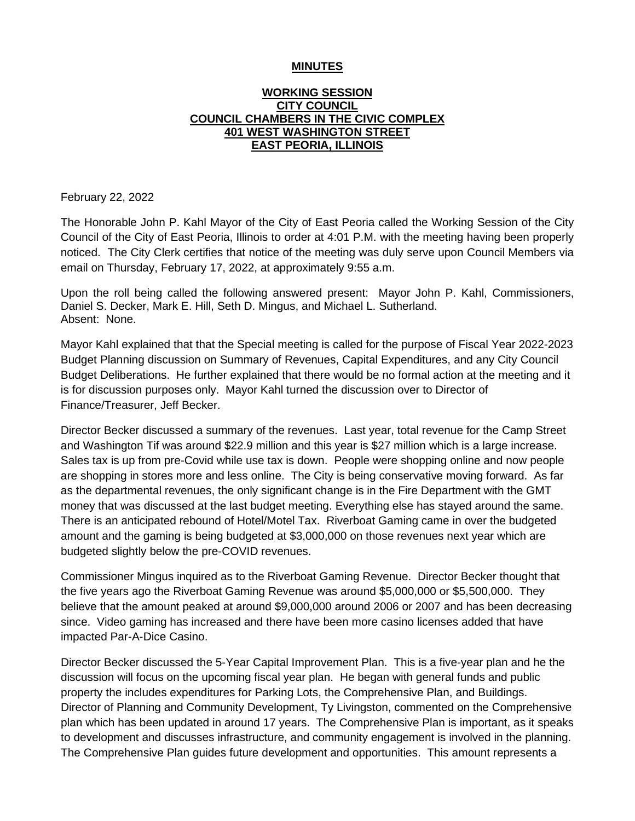#### **MINUTES**

### **WORKING SESSION CITY COUNCIL COUNCIL CHAMBERS IN THE CIVIC COMPLEX 401 WEST WASHINGTON STREET EAST PEORIA, ILLINOIS**

February 22, 2022

The Honorable John P. Kahl Mayor of the City of East Peoria called the Working Session of the City Council of the City of East Peoria, Illinois to order at 4:01 P.M. with the meeting having been properly noticed. The City Clerk certifies that notice of the meeting was duly serve upon Council Members via email on Thursday, February 17, 2022, at approximately 9:55 a.m.

Upon the roll being called the following answered present: Mayor John P. Kahl, Commissioners, Daniel S. Decker, Mark E. Hill, Seth D. Mingus, and Michael L. Sutherland. Absent: None.

Mayor Kahl explained that that the Special meeting is called for the purpose of Fiscal Year 2022-2023 Budget Planning discussion on Summary of Revenues, Capital Expenditures, and any City Council Budget Deliberations. He further explained that there would be no formal action at the meeting and it is for discussion purposes only. Mayor Kahl turned the discussion over to Director of Finance/Treasurer, Jeff Becker.

Director Becker discussed a summary of the revenues. Last year, total revenue for the Camp Street and Washington Tif was around \$22.9 million and this year is \$27 million which is a large increase. Sales tax is up from pre-Covid while use tax is down. People were shopping online and now people are shopping in stores more and less online. The City is being conservative moving forward. As far as the departmental revenues, the only significant change is in the Fire Department with the GMT money that was discussed at the last budget meeting. Everything else has stayed around the same. There is an anticipated rebound of Hotel/Motel Tax. Riverboat Gaming came in over the budgeted amount and the gaming is being budgeted at \$3,000,000 on those revenues next year which are budgeted slightly below the pre-COVID revenues.

Commissioner Mingus inquired as to the Riverboat Gaming Revenue. Director Becker thought that the five years ago the Riverboat Gaming Revenue was around \$5,000,000 or \$5,500,000. They believe that the amount peaked at around \$9,000,000 around 2006 or 2007 and has been decreasing since. Video gaming has increased and there have been more casino licenses added that have impacted Par-A-Dice Casino.

Director Becker discussed the 5-Year Capital Improvement Plan. This is a five-year plan and he the discussion will focus on the upcoming fiscal year plan. He began with general funds and public property the includes expenditures for Parking Lots, the Comprehensive Plan, and Buildings. Director of Planning and Community Development, Ty Livingston, commented on the Comprehensive plan which has been updated in around 17 years. The Comprehensive Plan is important, as it speaks to development and discusses infrastructure, and community engagement is involved in the planning. The Comprehensive Plan guides future development and opportunities. This amount represents a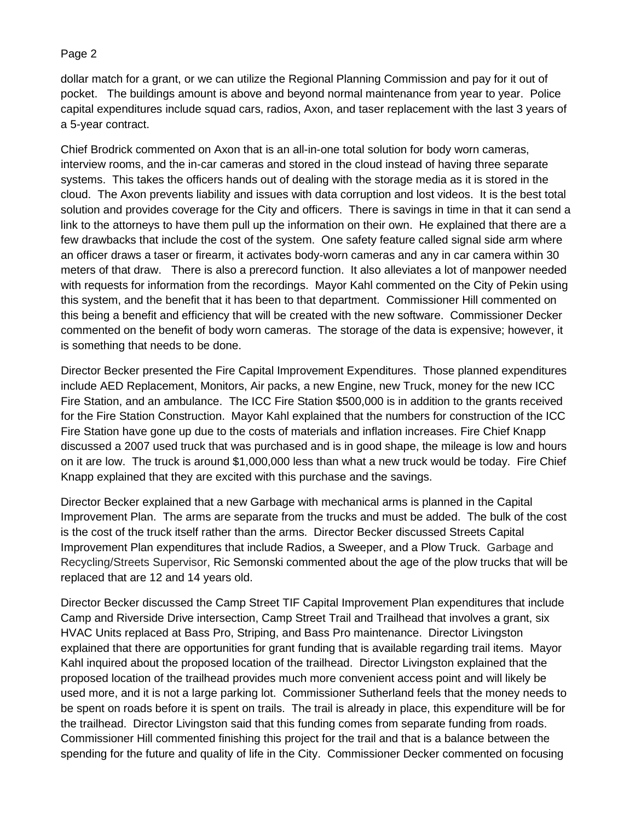## Page 2

dollar match for a grant, or we can utilize the Regional Planning Commission and pay for it out of pocket. The buildings amount is above and beyond normal maintenance from year to year. Police capital expenditures include squad cars, radios, Axon, and taser replacement with the last 3 years of a 5-year contract.

Chief Brodrick commented on Axon that is an all-in-one total solution for body worn cameras, interview rooms, and the in-car cameras and stored in the cloud instead of having three separate systems. This takes the officers hands out of dealing with the storage media as it is stored in the cloud. The Axon prevents liability and issues with data corruption and lost videos. It is the best total solution and provides coverage for the City and officers. There is savings in time in that it can send a link to the attorneys to have them pull up the information on their own. He explained that there are a few drawbacks that include the cost of the system. One safety feature called signal side arm where an officer draws a taser or firearm, it activates body-worn cameras and any in car camera within 30 meters of that draw. There is also a prerecord function. It also alleviates a lot of manpower needed with requests for information from the recordings. Mayor Kahl commented on the City of Pekin using this system, and the benefit that it has been to that department. Commissioner Hill commented on this being a benefit and efficiency that will be created with the new software. Commissioner Decker commented on the benefit of body worn cameras. The storage of the data is expensive; however, it is something that needs to be done.

Director Becker presented the Fire Capital Improvement Expenditures. Those planned expenditures include AED Replacement, Monitors, Air packs, a new Engine, new Truck, money for the new ICC Fire Station, and an ambulance. The ICC Fire Station \$500,000 is in addition to the grants received for the Fire Station Construction. Mayor Kahl explained that the numbers for construction of the ICC Fire Station have gone up due to the costs of materials and inflation increases. Fire Chief Knapp discussed a 2007 used truck that was purchased and is in good shape, the mileage is low and hours on it are low. The truck is around \$1,000,000 less than what a new truck would be today. Fire Chief Knapp explained that they are excited with this purchase and the savings.

Director Becker explained that a new Garbage with mechanical arms is planned in the Capital Improvement Plan. The arms are separate from the trucks and must be added. The bulk of the cost is the cost of the truck itself rather than the arms. Director Becker discussed Streets Capital Improvement Plan expenditures that include Radios, a Sweeper, and a Plow Truck. Garbage and Recycling/Streets Supervisor, Ric Semonski commented about the age of the plow trucks that will be replaced that are 12 and 14 years old.

Director Becker discussed the Camp Street TIF Capital Improvement Plan expenditures that include Camp and Riverside Drive intersection, Camp Street Trail and Trailhead that involves a grant, six HVAC Units replaced at Bass Pro, Striping, and Bass Pro maintenance. Director Livingston explained that there are opportunities for grant funding that is available regarding trail items. Mayor Kahl inquired about the proposed location of the trailhead. Director Livingston explained that the proposed location of the trailhead provides much more convenient access point and will likely be used more, and it is not a large parking lot. Commissioner Sutherland feels that the money needs to be spent on roads before it is spent on trails. The trail is already in place, this expenditure will be for the trailhead. Director Livingston said that this funding comes from separate funding from roads. Commissioner Hill commented finishing this project for the trail and that is a balance between the spending for the future and quality of life in the City. Commissioner Decker commented on focusing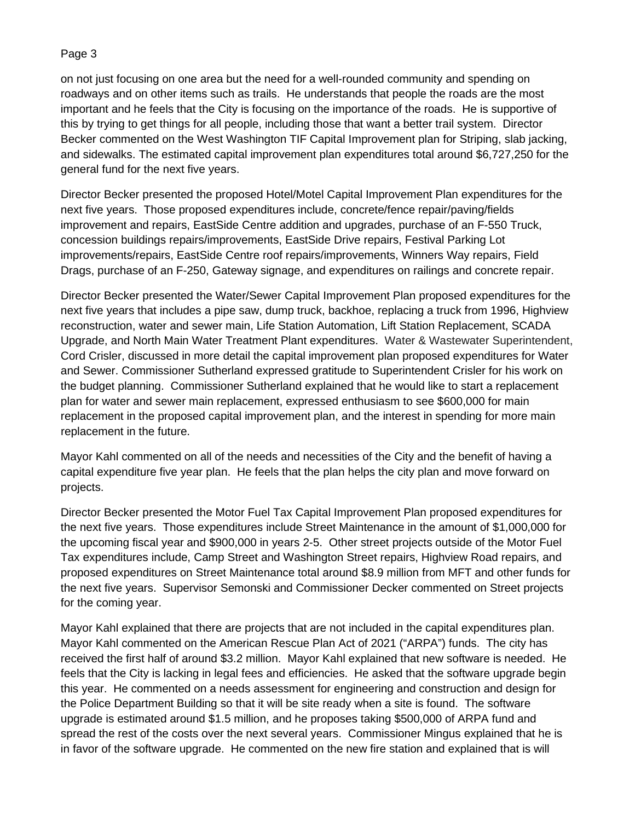# Page 3

on not just focusing on one area but the need for a well-rounded community and spending on roadways and on other items such as trails. He understands that people the roads are the most important and he feels that the City is focusing on the importance of the roads. He is supportive of this by trying to get things for all people, including those that want a better trail system. Director Becker commented on the West Washington TIF Capital Improvement plan for Striping, slab jacking, and sidewalks. The estimated capital improvement plan expenditures total around \$6,727,250 for the general fund for the next five years.

Director Becker presented the proposed Hotel/Motel Capital Improvement Plan expenditures for the next five years. Those proposed expenditures include, concrete/fence repair/paving/fields improvement and repairs, EastSide Centre addition and upgrades, purchase of an F-550 Truck, concession buildings repairs/improvements, EastSide Drive repairs, Festival Parking Lot improvements/repairs, EastSide Centre roof repairs/improvements, Winners Way repairs, Field Drags, purchase of an F-250, Gateway signage, and expenditures on railings and concrete repair.

Director Becker presented the Water/Sewer Capital Improvement Plan proposed expenditures for the next five years that includes a pipe saw, dump truck, backhoe, replacing a truck from 1996, Highview reconstruction, water and sewer main, Life Station Automation, Lift Station Replacement, SCADA Upgrade, and North Main Water Treatment Plant expenditures. Water & Wastewater Superintendent, Cord Crisler, discussed in more detail the capital improvement plan proposed expenditures for Water and Sewer. Commissioner Sutherland expressed gratitude to Superintendent Crisler for his work on the budget planning. Commissioner Sutherland explained that he would like to start a replacement plan for water and sewer main replacement, expressed enthusiasm to see \$600,000 for main replacement in the proposed capital improvement plan, and the interest in spending for more main replacement in the future.

Mayor Kahl commented on all of the needs and necessities of the City and the benefit of having a capital expenditure five year plan. He feels that the plan helps the city plan and move forward on projects.

Director Becker presented the Motor Fuel Tax Capital Improvement Plan proposed expenditures for the next five years. Those expenditures include Street Maintenance in the amount of \$1,000,000 for the upcoming fiscal year and \$900,000 in years 2-5. Other street projects outside of the Motor Fuel Tax expenditures include, Camp Street and Washington Street repairs, Highview Road repairs, and proposed expenditures on Street Maintenance total around \$8.9 million from MFT and other funds for the next five years. Supervisor Semonski and Commissioner Decker commented on Street projects for the coming year.

Mayor Kahl explained that there are projects that are not included in the capital expenditures plan. Mayor Kahl commented on the American Rescue Plan Act of 2021 ("ARPA") funds. The city has received the first half of around \$3.2 million. Mayor Kahl explained that new software is needed. He feels that the City is lacking in legal fees and efficiencies. He asked that the software upgrade begin this year. He commented on a needs assessment for engineering and construction and design for the Police Department Building so that it will be site ready when a site is found. The software upgrade is estimated around \$1.5 million, and he proposes taking \$500,000 of ARPA fund and spread the rest of the costs over the next several years. Commissioner Mingus explained that he is in favor of the software upgrade. He commented on the new fire station and explained that is will